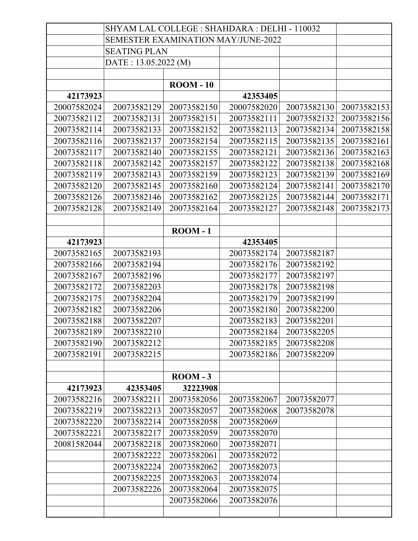|             | SHYAM LAL COLLEGE : SHAHDARA : DELHI - 110032 |                  |             |             |             |
|-------------|-----------------------------------------------|------------------|-------------|-------------|-------------|
|             | <b>SEMESTER EXAMINATION MAY/JUNE-2022</b>     |                  |             |             |             |
|             | <b>SEATING PLAN</b>                           |                  |             |             |             |
|             | DATE: 13.05.2022 (M)                          |                  |             |             |             |
|             |                                               |                  |             |             |             |
|             |                                               | <b>ROOM - 10</b> |             |             |             |
| 42173923    |                                               |                  | 42353405    |             |             |
| 20007582024 | 20073582129                                   | 20073582150      | 20007582020 | 20073582130 | 20073582153 |
| 20073582112 | 20073582131                                   | 20073582151      | 20073582111 | 20073582132 | 20073582156 |
| 20073582114 | 20073582133                                   | 20073582152      | 20073582113 | 20073582134 | 20073582158 |
| 20073582116 | 20073582137                                   | 20073582154      | 20073582115 | 20073582135 | 20073582161 |
| 20073582117 | 20073582140                                   | 20073582155      | 20073582121 | 20073582136 | 20073582163 |
| 20073582118 | 20073582142                                   | 20073582157      | 20073582122 | 20073582138 | 20073582168 |
| 20073582119 | 20073582143                                   | 20073582159      | 20073582123 | 20073582139 | 20073582169 |
| 20073582120 | 20073582145                                   | 20073582160      | 20073582124 | 20073582141 | 20073582170 |
| 20073582126 | 20073582146                                   | 20073582162      | 20073582125 | 20073582144 | 20073582171 |
| 20073582128 | 20073582149                                   | 20073582164      | 20073582127 | 20073582148 | 20073582173 |
|             |                                               |                  |             |             |             |
|             |                                               | $\text{ROOM}-1$  |             |             |             |
| 42173923    |                                               |                  | 42353405    |             |             |
| 20073582165 | 20073582193                                   |                  | 20073582174 | 20073582187 |             |
| 20073582166 | 20073582194                                   |                  | 20073582176 | 20073582192 |             |
| 20073582167 | 20073582196                                   |                  | 20073582177 | 20073582197 |             |
| 20073582172 | 20073582203                                   |                  | 20073582178 | 20073582198 |             |
| 20073582175 | 20073582204                                   |                  | 20073582179 | 20073582199 |             |
| 20073582182 | 20073582206                                   |                  | 20073582180 | 20073582200 |             |
| 20073582188 | 20073582207                                   |                  | 20073582183 | 20073582201 |             |
| 20073582189 | 20073582210                                   |                  | 20073582184 | 20073582205 |             |
| 20073582190 | 20073582212                                   |                  | 20073582185 | 20073582208 |             |
| 20073582191 | 20073582215                                   |                  | 20073582186 | 20073582209 |             |
|             |                                               |                  |             |             |             |
|             |                                               | $\text{ROM} - 3$ |             |             |             |
| 42173923    | 42353405                                      | 32223908         |             |             |             |
| 20073582216 | 20073582211                                   | 20073582056      | 20073582067 | 20073582077 |             |
| 20073582219 | 20073582213                                   | 20073582057      | 20073582068 | 20073582078 |             |
| 20073582220 | 20073582214                                   | 20073582058      | 20073582069 |             |             |
| 20073582221 | 20073582217                                   | 20073582059      | 20073582070 |             |             |
| 20081582044 | 20073582218                                   | 20073582060      | 20073582071 |             |             |
|             | 20073582222                                   | 20073582061      | 20073582072 |             |             |
|             | 20073582224                                   | 20073582062      | 20073582073 |             |             |
|             | 20073582225                                   | 20073582063      | 20073582074 |             |             |
|             | 20073582226                                   | 20073582064      | 20073582075 |             |             |
|             |                                               | 20073582066      | 20073582076 |             |             |
|             |                                               |                  |             |             |             |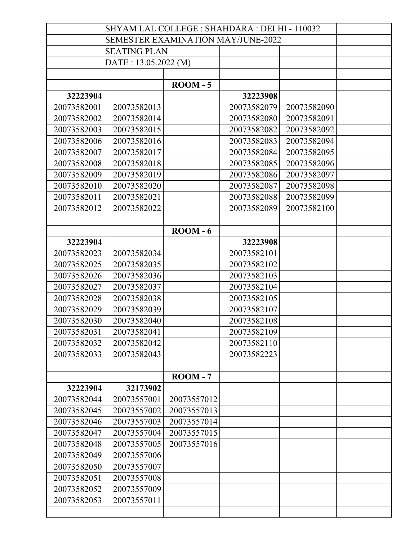|             | SHYAM LAL COLLEGE : SHAHDARA : DELHI - 110032 |                   |             |             |  |
|-------------|-----------------------------------------------|-------------------|-------------|-------------|--|
|             | <b>SEMESTER EXAMINATION MAY/JUNE-2022</b>     |                   |             |             |  |
|             | <b>SEATING PLAN</b>                           |                   |             |             |  |
|             | DATE: 13.05.2022 (M)                          |                   |             |             |  |
|             |                                               |                   |             |             |  |
|             |                                               | $\text{ROOM}-5$   |             |             |  |
| 32223904    |                                               |                   | 32223908    |             |  |
| 20073582001 | 20073582013                                   |                   | 20073582079 | 20073582090 |  |
| 20073582002 | 20073582014                                   |                   | 20073582080 | 20073582091 |  |
| 20073582003 | 20073582015                                   |                   | 20073582082 | 20073582092 |  |
| 20073582006 | 20073582016                                   |                   | 20073582083 | 20073582094 |  |
| 20073582007 | 20073582017                                   |                   | 20073582084 | 20073582095 |  |
| 20073582008 | 20073582018                                   |                   | 20073582085 | 20073582096 |  |
| 20073582009 | 20073582019                                   |                   | 20073582086 | 20073582097 |  |
| 20073582010 | 20073582020                                   |                   | 20073582087 | 20073582098 |  |
| 20073582011 | 20073582021                                   |                   | 20073582088 | 20073582099 |  |
| 20073582012 | 20073582022                                   |                   | 20073582089 | 20073582100 |  |
|             |                                               |                   |             |             |  |
|             |                                               | $\text{ROM} - 6$  |             |             |  |
| 32223904    |                                               |                   | 32223908    |             |  |
| 20073582023 | 20073582034                                   |                   | 20073582101 |             |  |
| 20073582025 | 20073582035                                   |                   | 20073582102 |             |  |
| 20073582026 | 20073582036                                   |                   | 20073582103 |             |  |
| 20073582027 | 20073582037                                   |                   | 20073582104 |             |  |
| 20073582028 | 20073582038                                   |                   | 20073582105 |             |  |
| 20073582029 | 20073582039                                   |                   | 20073582107 |             |  |
| 20073582030 | 20073582040                                   |                   | 20073582108 |             |  |
| 20073582031 | 20073582041                                   |                   | 20073582109 |             |  |
| 20073582032 | 20073582042                                   |                   | 20073582110 |             |  |
| 20073582033 | 20073582043                                   |                   | 20073582223 |             |  |
|             |                                               |                   |             |             |  |
|             |                                               | $\text{ROOM} - 7$ |             |             |  |
| 32223904    | 32173902                                      |                   |             |             |  |
| 20073582044 | 20073557001                                   | 20073557012       |             |             |  |
| 20073582045 | 20073557002                                   | 20073557013       |             |             |  |
| 20073582046 | 20073557003                                   | 20073557014       |             |             |  |
| 20073582047 | 20073557004                                   | 20073557015       |             |             |  |
| 20073582048 | 20073557005                                   | 20073557016       |             |             |  |
| 20073582049 | 20073557006                                   |                   |             |             |  |
| 20073582050 | 20073557007                                   |                   |             |             |  |
| 20073582051 | 20073557008                                   |                   |             |             |  |
| 20073582052 | 20073557009                                   |                   |             |             |  |
| 20073582053 | 20073557011                                   |                   |             |             |  |
|             |                                               |                   |             |             |  |